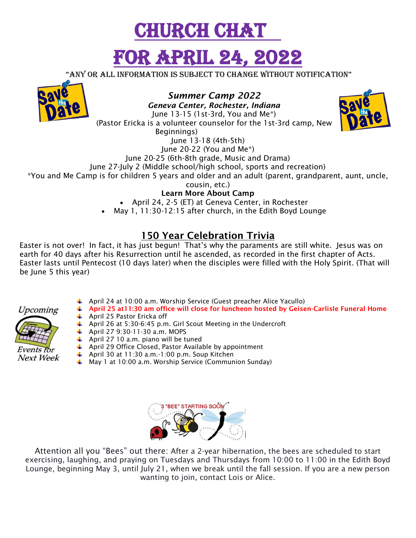

"any or all information is subject to change without notification"



*Summer Camp 2022* 

*Geneva Center, Rochester, Indiana* June 13-15 (1st-3rd, You and Me\*) (Pastor Ericka is a volunteer counselor for the 1st-3rd camp, New Beginnings) June 13-18 (4th-5th)



June 20-22 (You and Me\*)

June 20-25 (6th-8th grade, Music and Drama)

June 27-July 2 (Middle school/high school, sports and recreation)

\*You and Me Camp is for children 5 years and older and an adult (parent, grandparent, aunt, uncle,

cousin, etc.)

**Learn More About Camp**

• April 24, 2-5 (ET) at Geneva Center, in Rochester

May 1, 11:30-12:15 after church, in the Edith Boyd Lounge

#### **150 Year Celebration Trivia**

Easter is not over! In fact, it has just begun! That's why the paraments are still white. Jesus was on earth for 40 days after his Resurrection until he ascended, as recorded in the first chapter of Acts. Easter lasts until Pentecost (10 days later) when the disciples were filled with the Holy Spirit. (That will be June 5 this year)



- April 24 at 10:00 a.m. Worship Service (Guest preacher Alice Yacullo)
- **April 25 at11:30 am office will close for luncheon hosted by Geisen-Carlisle Funeral Home** April 25 Pastor Ericka off
	- April 26 at 5:30-6:45 p.m. Girl Scout Meeting in the Undercroft
	- April 27 9:30-11-30 a.m. MOPS
	- April 27 10 a.m. piano will be tuned
	- April 29 Office Closed, Pastor Available by appointment
	- April 30 at 11:30 a.m.-1:00 p.m. Soup Kitchen
	- May 1 at 10:00 a.m. Worship Service (Communion Sunday)



Attention all you "Bees" out there: After a 2-year hibernation, the bees are scheduled to start exercising, laughing, and praying on Tuesdays and Thursdays from 10:00 to 11:00 in the Edith Boyd Lounge, beginning May 3, until July 21, when we break until the fall session. If you are a new person wanting to join, contact Lois or Alice.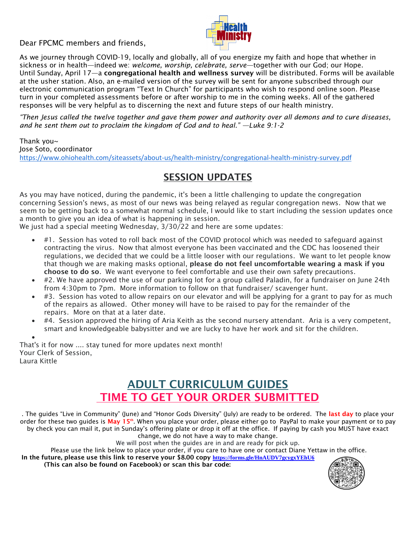Dear FPCMC members and friends,



As we journey through COVID-19, locally and globally, all of you energize my faith and hope that whether in sickness or in health—indeed we: *welcome, worship, celebrate, serve*—together with our God; our Hope. Until Sunday, April 17—a **congregational health and wellness survey** will be distributed. Forms will be available at the usher station. Also, an e-mailed version of the survey will be sent for anyone subscribed through our electronic communication program "Text In Church" for participants who wish to respond online soon. Please turn in your completed assessments before or after worship to me in the coming weeks. All of the gathered responses will be very helpful as to discerning the next and future steps of our health ministry.

*"Then Jesus called the twelve together and gave them power and authority over all demons and to cure diseases, and he sent them out to proclaim the kingdom of God and to heal." —Luke 9:1-2*

Thank you~ Jose Soto, coordinator <https://www.ohiohealth.com/siteassets/about-us/health-ministry/congregational-health-ministry-survey.pdf>

### **SESSION UPDATES**

As you may have noticed, during the pandemic, it's been a little challenging to update the congregation concerning Session's news, as most of our news was being relayed as regular congregation news. Now that we seem to be getting back to a somewhat normal schedule, I would like to start including the session updates once a month to give you an idea of what is happening in session.

We just had a special meeting Wednesday, 3/30/22 and here are some updates:

- #1. Session has voted to roll back most of the COVID protocol which was needed to safeguard against contracting the virus. Now that almost everyone has been vaccinated and the CDC has loosened their regulations, we decided that we could be a little looser with our regulations. We want to let people know that though we are making masks optional, **please do not feel uncomfortable wearing a mask if you choose to do so**. We want everyone to feel comfortable and use their own safety precautions.
- #2. We have approved the use of our parking lot for a group called Paladin, for a fundraiser on June 24th from 4:30pm to 7pm. More information to follow on that fundraiser/ scavenger hunt.
- $\bullet$  #3. Session has voted to allow repairs on our elevator and will be applying for a grant to pay for as much of the repairs as allowed. Other money will have to be raised to pay for the remainder of the repairs. More on that at a later date.
- #4. Session approved the hiring of Aria Keith as the second nursery attendant. Aria is a very competent, smart and knowledgeable babysitter and we are lucky to have her work and sit for the children.

 $\bullet$ That's it for now .... stay tuned for more updates next month! Your Clerk of Session, Laura Kittle

## **ADULT CURRICULUM GUIDES TIME TO GET YOUR ORDER SUBMITTED**

. The guides "Live in Community" (June) and "Honor Gods Diversity" (July) are ready to be ordered. The **last day** to place your order for these two guides is **May 15th**. When you place your order, please either go to PayPal to make your payment or to pay by check you can mail it, put in Sunday's offering plate or drop it off at the office. If paying by cash you MUST have exact change, we do not have a way to make change.

We will post when the quides are in and are ready for pick up.

Please use the link below to place your order, if you care to have one or contact Diane Yettaw in the office.

**In the future, please use this link to reserve your \$8.00 copy <https://forms.gle/HnAUDV7gcygxYEhU6>**

**(This can also be found on Facebook) or scan this bar code:**

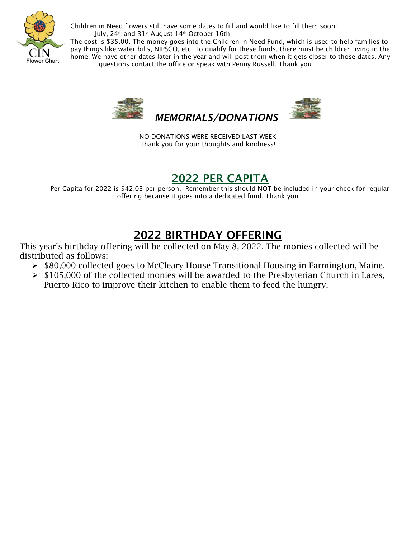

Children in Need flowers still have some dates to fill and would like to fill them soon: July, 24<sup>th</sup> and 31<sup>st</sup> August 14<sup>th</sup> October 16th

The cost is \$35.00. The money goes into the Children In Need Fund, which is used to help families to pay things like water bills, NIPSCO, etc. To qualify for these funds, there must be children living in the home. We have other dates later in the year and will post them when it gets closer to those dates. Any questions contact the office or speak with Penny Russell. Thank you



NO DONATIONS WERE RECEIVED LAST WEEK Thank you for your thoughts and kindness!

#### **2022 PER CAPITA**

Per Capita for 2022 is \$42.03 per person. Remember this should NOT be included in your check for regular offering because it goes into a dedicated fund. Thank you

# **2022 BIRTHDAY OFFERING**

This year's birthday offering will be collected on May 8, 2022. The monies collected will be distributed as follows:

- $\triangleright$  \$80,000 collected goes to McCleary House Transitional Housing in Farmington, Maine.
- $\triangleright$  \$105,000 of the collected monies will be awarded to the Presbyterian Church in Lares, Puerto Rico to improve their kitchen to enable them to feed the hungry.